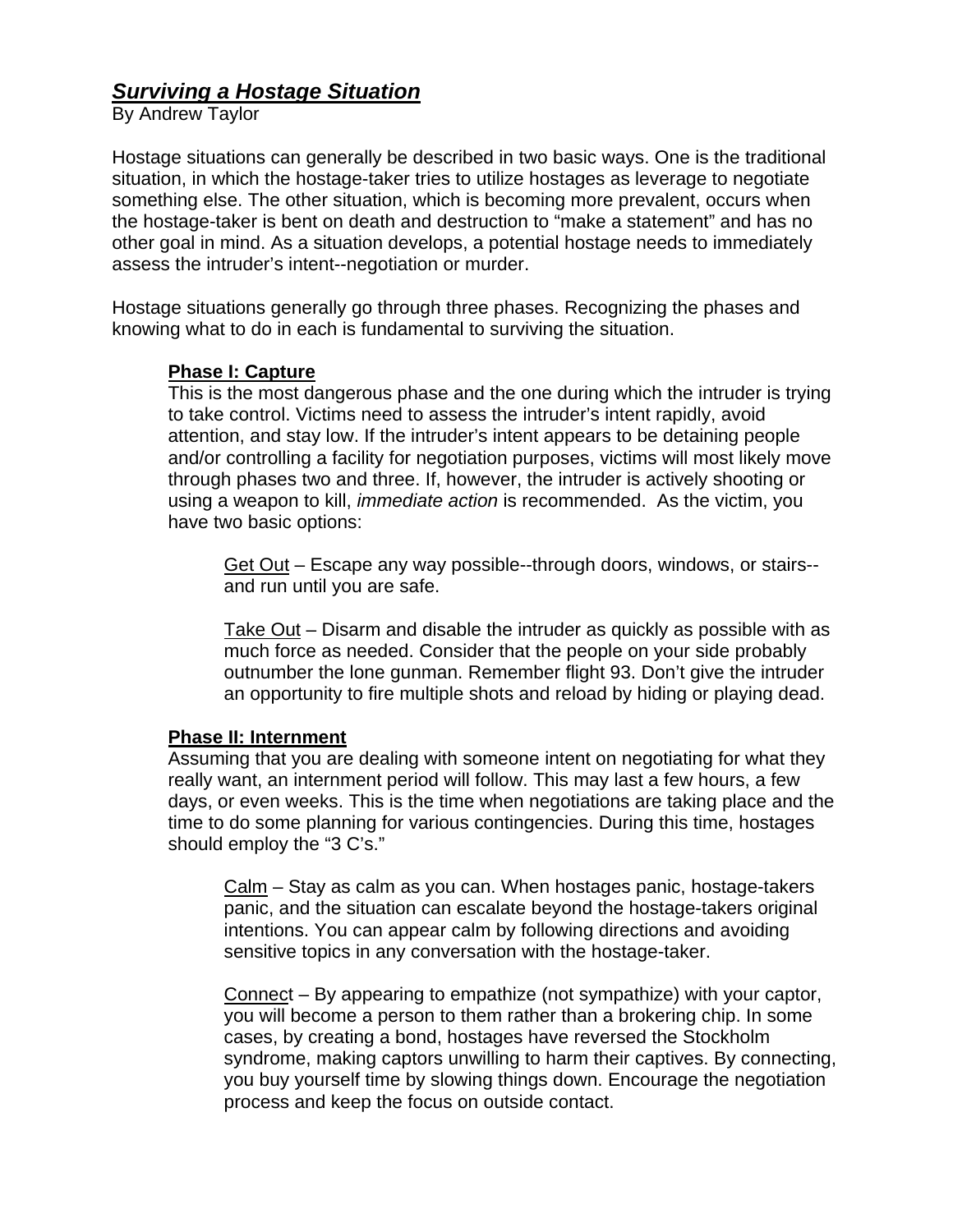## *Surviving a Hostage Situation*

By Andrew Taylor

Hostage situations can generally be described in two basic ways. One is the traditional situation, in which the hostage-taker tries to utilize hostages as leverage to negotiate something else. The other situation, which is becoming more prevalent, occurs when the hostage-taker is bent on death and destruction to "make a statement" and has no other goal in mind. As a situation develops, a potential hostage needs to immediately assess the intruder's intent--negotiation or murder.

Hostage situations generally go through three phases. Recognizing the phases and knowing what to do in each is fundamental to surviving the situation.

## **Phase I: Capture**

This is the most dangerous phase and the one during which the intruder is trying to take control. Victims need to assess the intruder's intent rapidly, avoid attention, and stay low. If the intruder's intent appears to be detaining people and/or controlling a facility for negotiation purposes, victims will most likely move through phases two and three. If, however, the intruder is actively shooting or using a weapon to kill, *immediate action* is recommended. As the victim, you have two basic options:

Get Out – Escape any way possible--through doors, windows, or stairs- and run until you are safe.

Take Out – Disarm and disable the intruder as quickly as possible with as much force as needed. Consider that the people on your side probably outnumber the lone gunman. Remember flight 93. Don't give the intruder an opportunity to fire multiple shots and reload by hiding or playing dead.

## **Phase II: Internment**

Assuming that you are dealing with someone intent on negotiating for what they really want, an internment period will follow. This may last a few hours, a few days, or even weeks. This is the time when negotiations are taking place and the time to do some planning for various contingencies. During this time, hostages should employ the "3 C's."

Calm – Stay as calm as you can. When hostages panic, hostage-takers panic, and the situation can escalate beyond the hostage-takers original intentions. You can appear calm by following directions and avoiding sensitive topics in any conversation with the hostage-taker.

Connect – By appearing to empathize (not sympathize) with your captor, you will become a person to them rather than a brokering chip. In some cases, by creating a bond, hostages have reversed the Stockholm syndrome, making captors unwilling to harm their captives. By connecting, you buy yourself time by slowing things down. Encourage the negotiation process and keep the focus on outside contact.